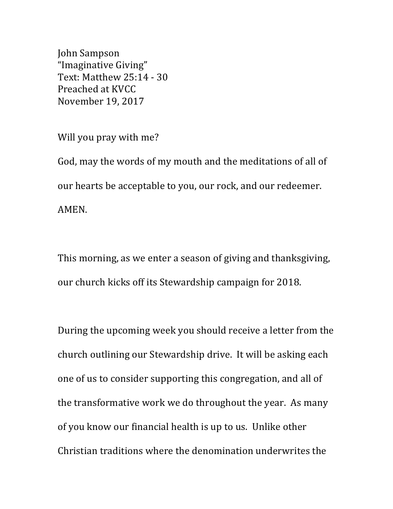John Sampson "Imaginative Giving" Text: Matthew 25:14 - 30 Preached at KVCC November 19, 2017

Will you pray with me?

God, may the words of my mouth and the meditations of all of our hearts be acceptable to you, our rock, and our redeemer. AMEN.

This morning, as we enter a season of giving and thanksgiving, our church kicks off its Stewardship campaign for 2018.

During the upcoming week you should receive a letter from the church outlining our Stewardship drive. It will be asking each one of us to consider supporting this congregation, and all of the transformative work we do throughout the year. As many of you know our financial health is up to us. Unlike other Christian traditions where the denomination underwrites the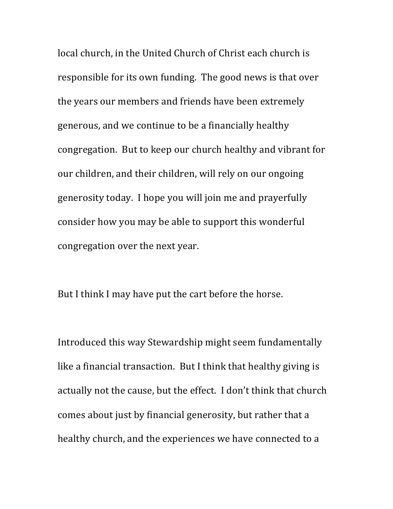local church, in the United Church of Christ each church is responsible for its own funding. The good news is that over the years our members and friends have been extremely generous, and we continue to be a financially healthy congregation. But to keep our church healthy and vibrant for our children, and their children, will rely on our ongoing generosity today. I hope you will join me and prayerfully consider how you may be able to support this wonderful congregation over the next year.

But I think I may have put the cart before the horse.

Introduced this way Stewardship might seem fundamentally like a financial transaction. But I think that healthy giving is actually not the cause, but the effect. I don't think that church comes about just by financial generosity, but rather that a healthy church, and the experiences we have connected to a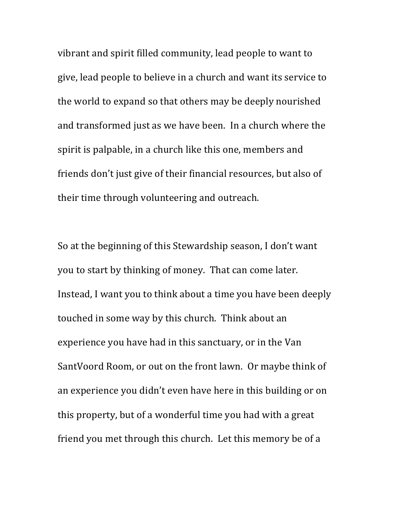vibrant and spirit filled community, lead people to want to give, lead people to believe in a church and want its service to the world to expand so that others may be deeply nourished and transformed just as we have been. In a church where the spirit is palpable, in a church like this one, members and friends don't just give of their financial resources, but also of their time through volunteering and outreach.

So at the beginning of this Stewardship season, I don't want you to start by thinking of money. That can come later. Instead, I want you to think about a time you have been deeply touched in some way by this church. Think about an experience you have had in this sanctuary, or in the Van SantVoord Room, or out on the front lawn. Or maybe think of an experience you didn't even have here in this building or on this property, but of a wonderful time you had with a great friend you met through this church. Let this memory be of a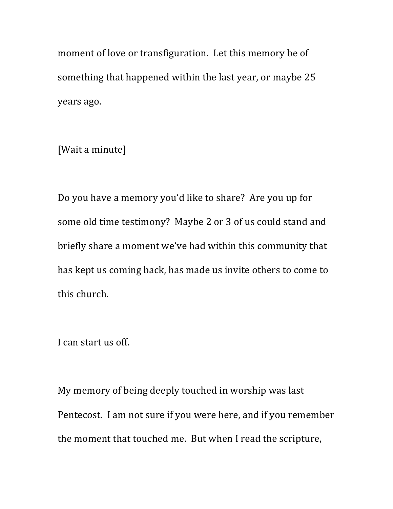moment of love or transfiguration. Let this memory be of something that happened within the last year, or maybe 25 years ago.

[Wait a minute]

Do you have a memory you'd like to share? Are you up for some old time testimony? Maybe 2 or 3 of us could stand and briefly share a moment we've had within this community that has kept us coming back, has made us invite others to come to this church.

I can start us off.

My memory of being deeply touched in worship was last Pentecost. I am not sure if you were here, and if you remember the moment that touched me. But when I read the scripture,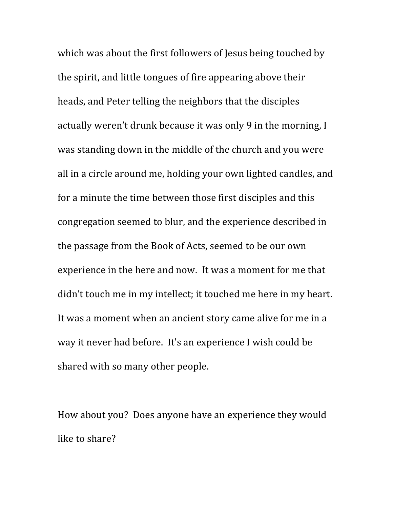which was about the first followers of Jesus being touched by the spirit, and little tongues of fire appearing above their heads, and Peter telling the neighbors that the disciples actually weren't drunk because it was only 9 in the morning, I was standing down in the middle of the church and you were all in a circle around me, holding your own lighted candles, and for a minute the time between those first disciples and this congregation seemed to blur, and the experience described in the passage from the Book of Acts, seemed to be our own experience in the here and now. It was a moment for me that didn't touch me in my intellect; it touched me here in my heart. It was a moment when an ancient story came alive for me in a way it never had before. It's an experience I wish could be shared with so many other people.

How about you? Does anyone have an experience they would like to share?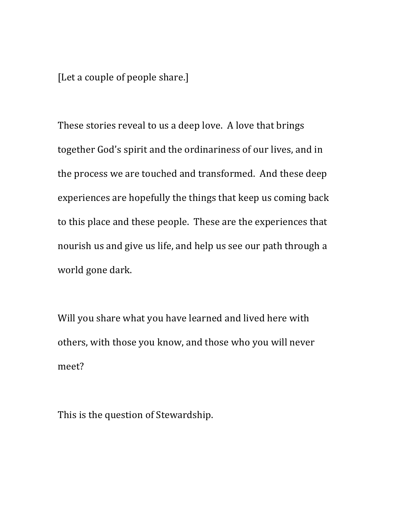[Let a couple of people share.]

These stories reveal to us a deep love. A love that brings together God's spirit and the ordinariness of our lives, and in the process we are touched and transformed. And these deep experiences are hopefully the things that keep us coming back to this place and these people. These are the experiences that nourish us and give us life, and help us see our path through a world gone dark.

Will you share what you have learned and lived here with others, with those you know, and those who you will never meet?

This is the question of Stewardship.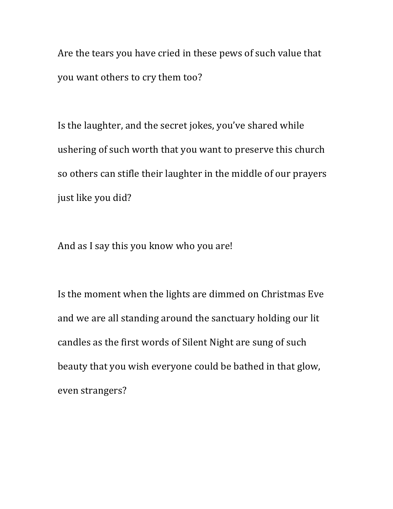Are the tears you have cried in these pews of such value that you want others to cry them too?

Is the laughter, and the secret jokes, you've shared while ushering of such worth that you want to preserve this church so others can stifle their laughter in the middle of our prayers just like you did?

And as I say this you know who you are!

Is the moment when the lights are dimmed on Christmas Eve and we are all standing around the sanctuary holding our lit candles as the first words of Silent Night are sung of such beauty that you wish everyone could be bathed in that glow, even strangers?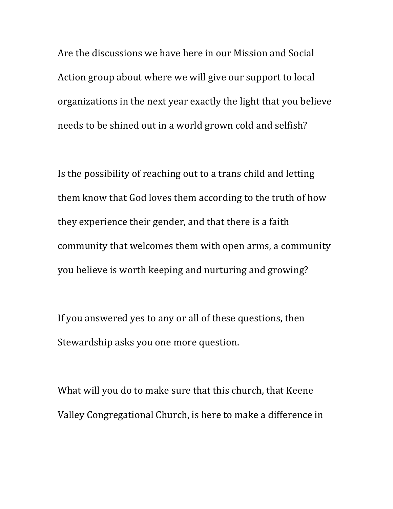Are the discussions we have here in our Mission and Social Action group about where we will give our support to local organizations in the next year exactly the light that you believe needs to be shined out in a world grown cold and selfish?

Is the possibility of reaching out to a trans child and letting them know that God loves them according to the truth of how they experience their gender, and that there is a faith community that welcomes them with open arms, a community you believe is worth keeping and nurturing and growing?

If you answered yes to any or all of these questions, then Stewardship asks you one more question.

What will you do to make sure that this church, that Keene Valley Congregational Church, is here to make a difference in